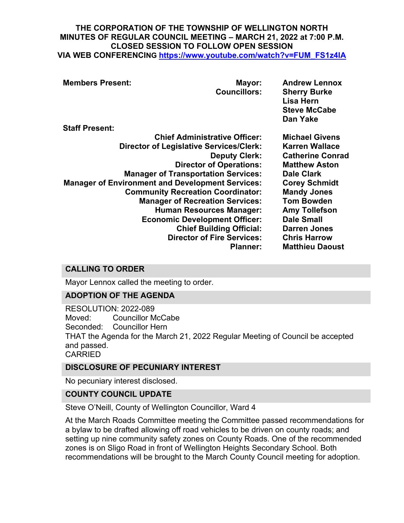#### **THE CORPORATION OF THE TOWNSHIP OF WELLINGTON NORTH MINUTES OF REGULAR COUNCIL MEETING – MARCH 21, 2022 at 7:00 P.M. CLOSED SESSION TO FOLLOW OPEN SESSION VIA WEB CONFERENCING [https://www.youtube.com/watch?v=FUM\\_FS1z4IA](https://www.youtube.com/watch?v=FUM_FS1z4IA)**

| <b>Members Present:</b><br><b>Staff Present:</b>                                                                                                                                                                                                                                                                                                                 | Mayor:<br><b>Councillors:</b>                                                                                                                     | <b>Andrew Lennox</b><br><b>Sherry Burke</b><br>Lisa Hern<br><b>Steve McCabe</b><br>Dan Yake                                                                                                                                                                                                                    |
|------------------------------------------------------------------------------------------------------------------------------------------------------------------------------------------------------------------------------------------------------------------------------------------------------------------------------------------------------------------|---------------------------------------------------------------------------------------------------------------------------------------------------|----------------------------------------------------------------------------------------------------------------------------------------------------------------------------------------------------------------------------------------------------------------------------------------------------------------|
| <b>Chief Administrative Officer:</b><br><b>Director of Legislative Services/Clerk:</b><br><b>Manager of Transportation Services:</b><br><b>Manager of Environment and Development Services:</b><br><b>Community Recreation Coordinator:</b><br><b>Manager of Recreation Services:</b><br><b>Human Resources Manager:</b><br><b>Economic Development Officer:</b> | <b>Deputy Clerk:</b><br><b>Director of Operations:</b><br><b>Chief Building Official:</b><br><b>Director of Fire Services:</b><br><b>Planner:</b> | <b>Michael Givens</b><br><b>Karren Wallace</b><br><b>Catherine Conrad</b><br><b>Matthew Aston</b><br><b>Dale Clark</b><br><b>Corey Schmidt</b><br><b>Mandy Jones</b><br><b>Tom Bowden</b><br><b>Amy Tollefson</b><br><b>Dale Small</b><br><b>Darren Jones</b><br><b>Chris Harrow</b><br><b>Matthieu Daoust</b> |

## **CALLING TO ORDER**

Mayor Lennox called the meeting to order.

## **ADOPTION OF THE AGENDA**

RESOLUTION: 2022-089 Moved: Councillor McCabe Seconded: Councillor Hern THAT the Agenda for the March 21, 2022 Regular Meeting of Council be accepted and passed. CARRIED

## **DISCLOSURE OF PECUNIARY INTEREST**

No pecuniary interest disclosed.

#### **COUNTY COUNCIL UPDATE**

Steve O'Neill, County of Wellington Councillor, Ward 4

At the March Roads Committee meeting the Committee passed recommendations for a bylaw to be drafted allowing off road vehicles to be driven on county roads; and setting up nine community safety zones on County Roads. One of the recommended zones is on Sligo Road in front of Wellington Heights Secondary School. Both recommendations will be brought to the March County Council meeting for adoption.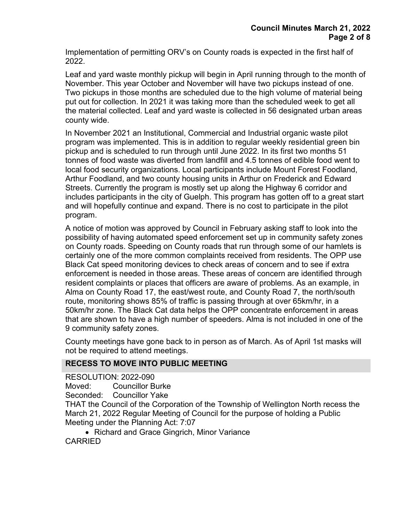Implementation of permitting ORV's on County roads is expected in the first half of 2022.

Leaf and yard waste monthly pickup will begin in April running through to the month of November. This year October and November will have two pickups instead of one. Two pickups in those months are scheduled due to the high volume of material being put out for collection. In 2021 it was taking more than the scheduled week to get all the material collected. Leaf and yard waste is collected in 56 designated urban areas county wide.

In November 2021 an Institutional, Commercial and Industrial organic waste pilot program was implemented. This is in addition to regular weekly residential green bin pickup and is scheduled to run through until June 2022. In its first two months 51 tonnes of food waste was diverted from landfill and 4.5 tonnes of edible food went to local food security organizations. Local participants include Mount Forest Foodland, Arthur Foodland, and two county housing units in Arthur on Frederick and Edward Streets. Currently the program is mostly set up along the Highway 6 corridor and includes participants in the city of Guelph. This program has gotten off to a great start and will hopefully continue and expand. There is no cost to participate in the pilot program.

A notice of motion was approved by Council in February asking staff to look into the possibility of having automated speed enforcement set up in community safety zones on County roads. Speeding on County roads that run through some of our hamlets is certainly one of the more common complaints received from residents. The OPP use Black Cat speed monitoring devices to check areas of concern and to see if extra enforcement is needed in those areas. These areas of concern are identified through resident complaints or places that officers are aware of problems. As an example, in Alma on County Road 17, the east/west route, and County Road 7, the north/south route, monitoring shows 85% of traffic is passing through at over 65km/hr, in a 50km/hr zone. The Black Cat data helps the OPP concentrate enforcement in areas that are shown to have a high number of speeders. Alma is not included in one of the 9 community safety zones.

County meetings have gone back to in person as of March. As of April 1st masks will not be required to attend meetings.

#### **RECESS TO MOVE INTO PUBLIC MEETING**

RESOLUTION: 2022-090

Moved: Councillor Burke

Seconded: Councillor Yake

THAT the Council of the Corporation of the Township of Wellington North recess the March 21, 2022 Regular Meeting of Council for the purpose of holding a Public Meeting under the Planning Act: 7:07

• Richard and Grace Gingrich, Minor Variance CARRIED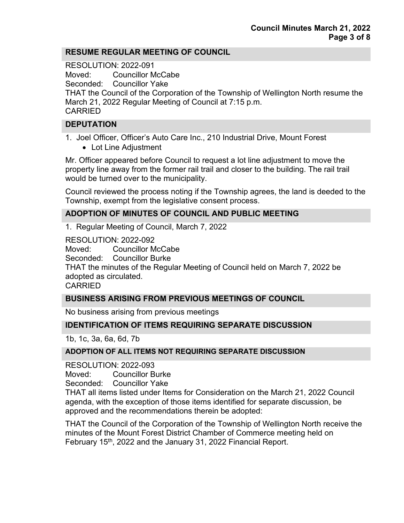### **RESUME REGULAR MEETING OF COUNCIL**

RESOLUTION: 2022-091 Moved: Councillor McCabe Seconded: Councillor Yake

THAT the Council of the Corporation of the Township of Wellington North resume the March 21, 2022 Regular Meeting of Council at 7:15 p.m. CARRIED

### **DEPUTATION**

1. Joel Officer, Officer's Auto Care Inc., 210 Industrial Drive, Mount Forest

• Lot Line Adjustment

Mr. Officer appeared before Council to request a lot line adjustment to move the property line away from the former rail trail and closer to the building. The rail trail would be turned over to the municipality.

Council reviewed the process noting if the Township agrees, the land is deeded to the Township, exempt from the legislative consent process.

### **ADOPTION OF MINUTES OF COUNCIL AND PUBLIC MEETING**

1. Regular Meeting of Council, March 7, 2022

RESOLUTION: 2022-092 Moved: Councillor McCabe Seconded: Councillor Burke THAT the minutes of the Regular Meeting of Council held on March 7, 2022 be adopted as circulated. CARRIED

#### **BUSINESS ARISING FROM PREVIOUS MEETINGS OF COUNCIL**

No business arising from previous meetings

## **IDENTIFICATION OF ITEMS REQUIRING SEPARATE DISCUSSION**

1b, 1c, 3a, 6a, 6d, 7b

#### **ADOPTION OF ALL ITEMS NOT REQUIRING SEPARATE DISCUSSION**

RESOLUTION: 2022-093

Moved: Councillor Burke

Seconded: Councillor Yake

THAT all items listed under Items for Consideration on the March 21, 2022 Council agenda, with the exception of those items identified for separate discussion, be approved and the recommendations therein be adopted:

THAT the Council of the Corporation of the Township of Wellington North receive the minutes of the Mount Forest District Chamber of Commerce meeting held on February 15<sup>th</sup>, 2022 and the January 31, 2022 Financial Report.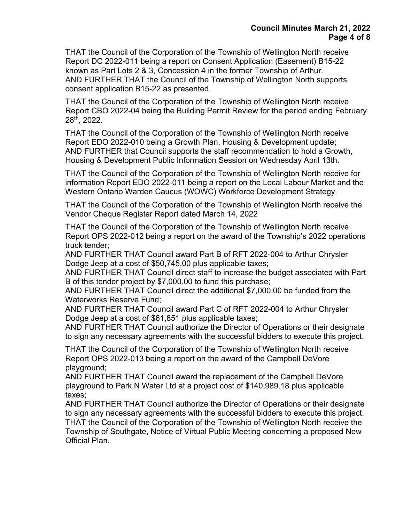THAT the Council of the Corporation of the Township of Wellington North receive Report DC 2022-011 being a report on Consent Application (Easement) B15-22 known as Part Lots 2 & 3, Concession 4 in the former Township of Arthur. AND FURTHER THAT the Council of the Township of Wellington North supports consent application B15-22 as presented.

THAT the Council of the Corporation of the Township of Wellington North receive Report CBO 2022-04 being the Building Permit Review for the period ending February 28th, 2022.

THAT the Council of the Corporation of the Township of Wellington North receive Report EDO 2022-010 being a Growth Plan, Housing & Development update; AND FURTHER that Council supports the staff recommendation to hold a Growth, Housing & Development Public Information Session on Wednesday April 13th.

THAT the Council of the Corporation of the Township of Wellington North receive for information Report EDO 2022-011 being a report on the Local Labour Market and the Western Ontario Warden Caucus (WOWC) Workforce Development Strategy.

THAT the Council of the Corporation of the Township of Wellington North receive the Vendor Cheque Register Report dated March 14, 2022

THAT the Council of the Corporation of the Township of Wellington North receive Report OPS 2022-012 being a report on the award of the Township's 2022 operations truck tender;

AND FURTHER THAT Council award Part B of RFT 2022-004 to Arthur Chrysler Dodge Jeep at a cost of \$50,745.00 plus applicable taxes;

AND FURTHER THAT Council direct staff to increase the budget associated with Part B of this tender project by \$7,000.00 to fund this purchase;

AND FURTHER THAT Council direct the additional \$7,000.00 be funded from the Waterworks Reserve Fund;

AND FURTHER THAT Council award Part C of RFT 2022-004 to Arthur Chrysler Dodge Jeep at a cost of \$61,851 plus applicable taxes;

AND FURTHER THAT Council authorize the Director of Operations or their designate to sign any necessary agreements with the successful bidders to execute this project.

THAT the Council of the Corporation of the Township of Wellington North receive Report OPS 2022-013 being a report on the award of the Campbell DeVore playground;

AND FURTHER THAT Council award the replacement of the Campbell DeVore playground to Park N Water Ltd at a project cost of \$140,989.18 plus applicable taxes;

AND FURTHER THAT Council authorize the Director of Operations or their designate to sign any necessary agreements with the successful bidders to execute this project. THAT the Council of the Corporation of the Township of Wellington North receive the Township of Southgate, Notice of Virtual Public Meeting concerning a proposed New Official Plan.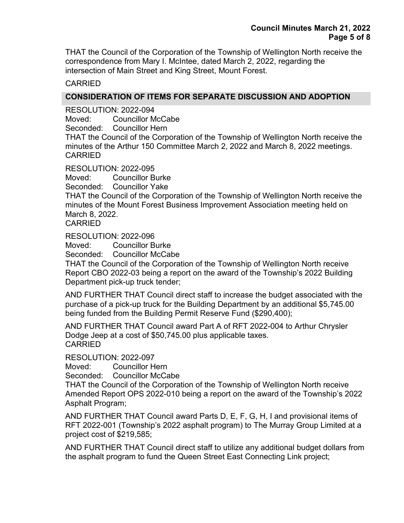THAT the Council of the Corporation of the Township of Wellington North receive the correspondence from Mary I. McIntee, dated March 2, 2022, regarding the intersection of Main Street and King Street, Mount Forest.

### CARRIED

### **CONSIDERATION OF ITEMS FOR SEPARATE DISCUSSION AND ADOPTION**

RESOLUTION: 2022-094 Moved: Councillor McCabe Seconded: Councillor Hern

THAT the Council of the Corporation of the Township of Wellington North receive the minutes of the Arthur 150 Committee March 2, 2022 and March 8, 2022 meetings. CARRIED

RESOLUTION: 2022-095

Moved: Councillor Burke

Seconded: Councillor Yake

THAT the Council of the Corporation of the Township of Wellington North receive the minutes of the Mount Forest Business Improvement Association meeting held on March 8, 2022.

CARRIED

RESOLUTION: 2022-096

Moved: Councillor Burke

Seconded: Councillor McCabe

THAT the Council of the Corporation of the Township of Wellington North receive Report CBO 2022-03 being a report on the award of the Township's 2022 Building Department pick-up truck tender;

AND FURTHER THAT Council direct staff to increase the budget associated with the purchase of a pick-up truck for the Building Department by an additional \$5,745.00 being funded from the Building Permit Reserve Fund (\$290,400);

AND FURTHER THAT Council award Part A of RFT 2022-004 to Arthur Chrysler Dodge Jeep at a cost of \$50,745.00 plus applicable taxes. CARRIED

RESOLUTION: 2022-097

Moved: Councillor Hern

Seconded: Councillor McCabe

THAT the Council of the Corporation of the Township of Wellington North receive Amended Report OPS 2022-010 being a report on the award of the Township's 2022 Asphalt Program;

AND FURTHER THAT Council award Parts D, E, F, G, H, I and provisional items of RFT 2022-001 (Township's 2022 asphalt program) to The Murray Group Limited at a project cost of \$219,585;

AND FURTHER THAT Council direct staff to utilize any additional budget dollars from the asphalt program to fund the Queen Street East Connecting Link project;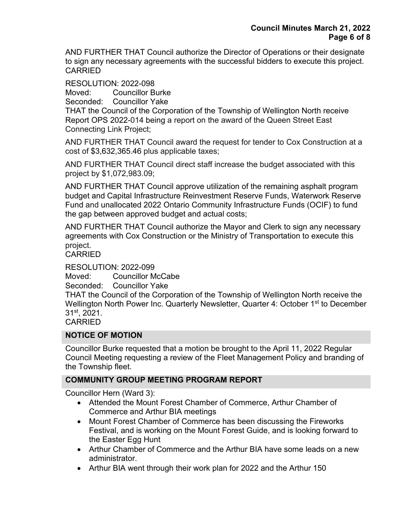AND FURTHER THAT Council authorize the Director of Operations or their designate to sign any necessary agreements with the successful bidders to execute this project. CARRIED

RESOLUTION: 2022-098

Moved: Councillor Burke

Seconded: Councillor Yake

THAT the Council of the Corporation of the Township of Wellington North receive Report OPS 2022-014 being a report on the award of the Queen Street East Connecting Link Project;

AND FURTHER THAT Council award the request for tender to Cox Construction at a cost of \$3,632,365.46 plus applicable taxes;

AND FURTHER THAT Council direct staff increase the budget associated with this project by \$1,072,983.09;

AND FURTHER THAT Council approve utilization of the remaining asphalt program budget and Capital Infrastructure Reinvestment Reserve Funds, Waterwork Reserve Fund and unallocated 2022 Ontario Community Infrastructure Funds (OCIF) to fund the gap between approved budget and actual costs;

AND FURTHER THAT Council authorize the Mayor and Clerk to sign any necessary agreements with Cox Construction or the Ministry of Transportation to execute this project.

CARRIED

RESOLUTION: 2022-099

Moved: Councillor McCabe

Seconded: Councillor Yake

THAT the Council of the Corporation of the Township of Wellington North receive the Wellington North Power Inc. Quarterly Newsletter, Quarter 4: October 1<sup>st</sup> to December 31st, 2021.

CARRIED

## **NOTICE OF MOTION**

Councillor Burke requested that a motion be brought to the April 11, 2022 Regular Council Meeting requesting a review of the Fleet Management Policy and branding of the Township fleet.

## **COMMUNITY GROUP MEETING PROGRAM REPORT**

Councillor Hern (Ward 3):

- Attended the Mount Forest Chamber of Commerce, Arthur Chamber of Commerce and Arthur BIA meetings
- Mount Forest Chamber of Commerce has been discussing the Fireworks Festival, and is working on the Mount Forest Guide, and is looking forward to the Easter Egg Hunt
- Arthur Chamber of Commerce and the Arthur BIA have some leads on a new administrator.
- Arthur BIA went through their work plan for 2022 and the Arthur 150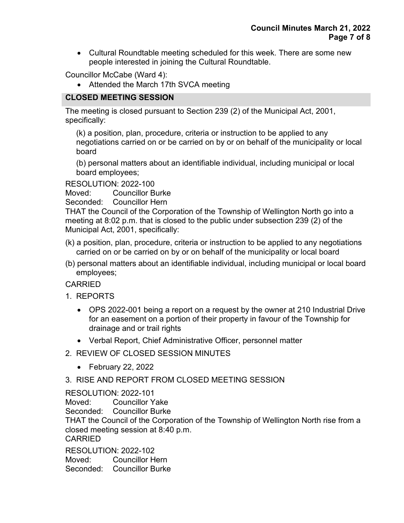• Cultural Roundtable meeting scheduled for this week. There are some new people interested in joining the Cultural Roundtable.

Councillor McCabe (Ward 4):

• Attended the March 17th SVCA meeting

# **CLOSED MEETING SESSION**

The meeting is closed pursuant to Section 239 (2) of the Municipal Act, 2001, specifically:

(k) a position, plan, procedure, criteria or instruction to be applied to any negotiations carried on or be carried on by or on behalf of the municipality or local board

(b) personal matters about an identifiable individual, including municipal or local board employees;

RESOLUTION: 2022-100

Moved: Councillor Burke

Seconded: Councillor Hern

THAT the Council of the Corporation of the Township of Wellington North go into a meeting at 8:02 p.m. that is closed to the public under subsection 239 (2) of the Municipal Act, 2001, specifically:

- (k) a position, plan, procedure, criteria or instruction to be applied to any negotiations carried on or be carried on by or on behalf of the municipality or local board
- (b) personal matters about an identifiable individual, including municipal or local board employees;

CARRIED

- 1. REPORTS
	- OPS 2022-001 being a report on a request by the owner at 210 Industrial Drive for an easement on a portion of their property in favour of the Township for drainage and or trail rights
	- Verbal Report, Chief Administrative Officer, personnel matter
- 2. REVIEW OF CLOSED SESSION MINUTES
	- February 22, 2022

## 3. RISE AND REPORT FROM CLOSED MEETING SESSION

## RESOLUTION: 2022-101

Moved: Councillor Yake

Seconded: Councillor Burke

THAT the Council of the Corporation of the Township of Wellington North rise from a closed meeting session at 8:40 p.m.

CARRIED

RESOLUTION: 2022-102 Moved: Councillor Hern Seconded: Councillor Burke